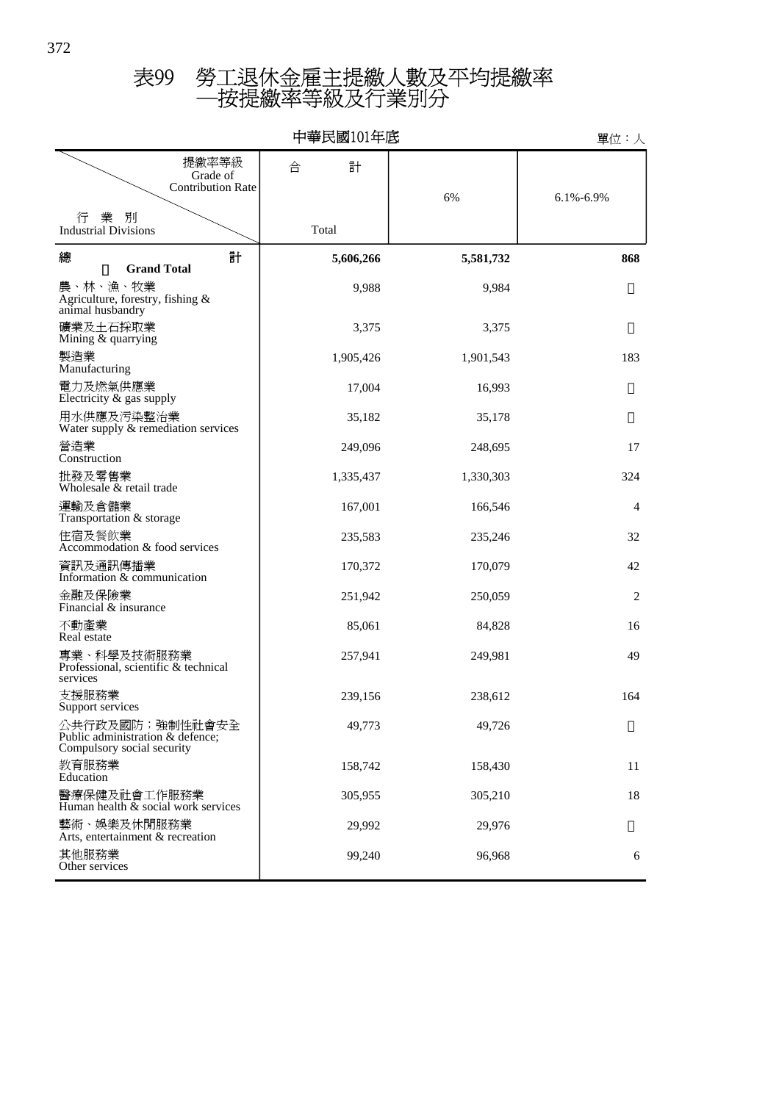|                                                                                   | 單位:人      |           |                 |
|-----------------------------------------------------------------------------------|-----------|-----------|-----------------|
| 提繳率等級<br>Grade of<br><b>Contribution Rate</b>                                     | 計<br>合    | 6%        | $6.1\% - 6.9\%$ |
| 行<br>業 別<br><b>Industrial Divisions</b>                                           | Total     |           |                 |
| 計<br>總<br><b>Grand Total</b>                                                      | 5,606,266 | 5,581,732 | 868             |
| 農、林、漁、牧業<br>Agriculture, forestry, fishing &<br>animal husbandry                  | 9,988     | 9,984     |                 |
| 礦業及土石採取業<br>Mining & quarrying                                                    | 3,375     | 3,375     |                 |
| 製造業<br>Manufacturing                                                              | 1,905,426 | 1,901,543 | 183             |
| 電力及燃氣供應業<br>Electricity & gas supply                                              | 17,004    | 16,993    |                 |
| 用水供應及污染整治業<br>Water supply & remediation services                                 | 35,182    | 35,178    |                 |
| 營造業<br>Construction                                                               | 249,096   | 248,695   | 17              |
| 批發及零售業<br>Wholesale & retail trade                                                | 1,335,437 | 1,330,303 | 324             |
| 運輸及倉儲業<br>Transportation & storage                                                | 167,001   | 166,546   | 4               |
| 住宿及餐飲業<br>Accommodation & food services                                           | 235,583   | 235,246   | 32              |
| 資訊及通訊傳播業<br>Information & communication                                           | 170,372   | 170,079   | 42              |
| 金融及保險業<br>Financial & insurance                                                   | 251,942   | 250,059   | 2               |
| 不動產業<br>Real estate                                                               | 85,061    | 84,828    | 16              |
| 專業、科學及技術服務業<br>Professional, scientific & technical<br>services                   | 257,941   | 249,981   | 49              |
| 支援服務業<br>Support services                                                         | 239,156   | 238,612   | 164             |
| 公共行政及國防;強制性社會安全<br>Public administration & defence;<br>Compulsory social security | 49,773    | 49,726    |                 |
| 教育服務業<br>Education                                                                | 158,742   | 158,430   | 11              |
| 醫療保健及社會工作服務業<br>Human health & social work services                               | 305,955   | 305,210   | 18              |
| 藝術、娛樂及休閒服務業<br>Arts, entertainment & recreation                                   | 29,992    | 29,976    |                 |
| 其他服務業<br>Other services                                                           | 99,240    | 96,968    | 6               |